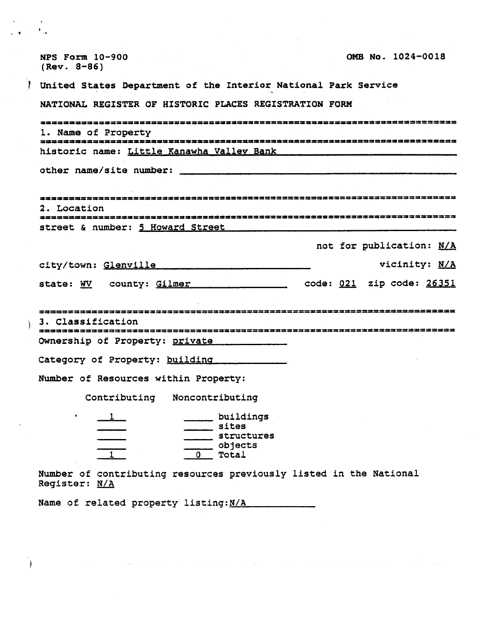| OMB No. 1024-0018<br><b>NPS Form 10-900</b><br>$(Rev. 8-86)$                        |
|-------------------------------------------------------------------------------------|
| United States Department of the Interior National Park Service                      |
| NATIONAL REGISTER OF HISTORIC PLACES REGISTRATION FORM                              |
| 2232333253333333#                                                                   |
| 1. Name of Property                                                                 |
| historic name: Little Kanawha Valley Bank                                           |
| other name/site number:                                                             |
|                                                                                     |
|                                                                                     |
| 2. Location                                                                         |
| street & number: 5 Howard Street                                                    |
| not for publication: N/A                                                            |
| vicinity: N/A<br>city/town: Glenville                                               |
|                                                                                     |
| code: <u>021</u> zip code: <u>26351</u><br>state: WV county: Gilmer                 |
|                                                                                     |
| 3. Classification                                                                   |
| Ownership of Property: private                                                      |
|                                                                                     |
| Category of Property: building                                                      |
| Number of Resources within Property:                                                |
| Contributing<br>Noncontributing                                                     |
| $\bullet$<br>buildings                                                              |
| sites<br>structures                                                                 |
| objects                                                                             |
| 0 Total                                                                             |
| Number of contributing resources previously listed in the National<br>Register: N/A |
| Name of related property listing: N/A                                               |
|                                                                                     |
|                                                                                     |

 $\mathcal{L}(\mathbf{r})$  and  $\mathcal{L}(\mathbf{r})$  are  $\mathcal{L}(\mathbf{r})$  . The contract  $\mathcal{L}(\mathbf{r})$ والمتساء مستوات التواصيل والمتعارف والمتحدث والمتمول الشاوان التواصل والمتحدث والمتحدث والمناوب والمتحدثة

 $\lambda$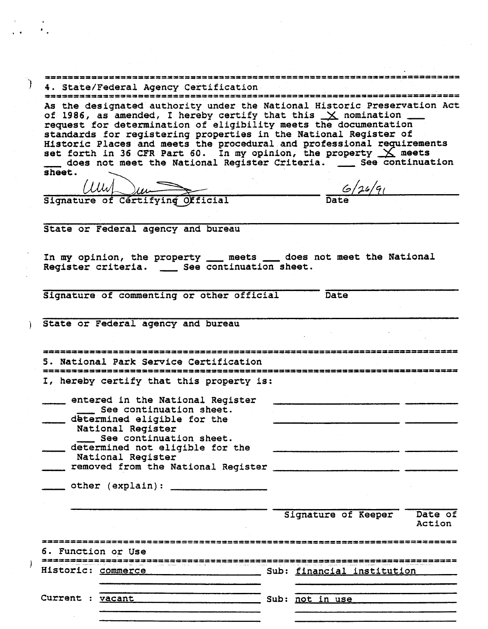| 4. State/Federal Agency Certification                                                                                                | ---------------------------- |         |
|--------------------------------------------------------------------------------------------------------------------------------------|------------------------------|---------|
| As the designated authority under the National Historic Preservation Act                                                             |                              |         |
| of 1986, as amended, I hereby certify that this $\times$ nomination                                                                  |                              |         |
| request for determination of eligibility meets the documentation<br>standards for registering properties in the National Register of |                              |         |
| Historic Places and meets the procedural and professional requirements                                                               |                              |         |
| set forth in 36 CFR Part 60. In my opinion, the property $X$ meets                                                                   |                              |         |
| does not meet the National Register Criteria. __ See continuation                                                                    |                              |         |
| sheet.                                                                                                                               |                              |         |
| $11111 \rightarrow 111$                                                                                                              | $-\frac{6/26}{9}$            |         |
| Signature of Certifying Official                                                                                                     |                              |         |
|                                                                                                                                      |                              |         |
| State or Federal agency and bureau                                                                                                   |                              |         |
|                                                                                                                                      |                              |         |
|                                                                                                                                      |                              |         |
| In my opinion, the property ___ meets ___ does not meet the National                                                                 |                              |         |
| Register criteria. __ See continuation sheet.                                                                                        |                              |         |
|                                                                                                                                      |                              |         |
| Signature of commenting or other official                                                                                            | Date                         |         |
|                                                                                                                                      |                              |         |
| State or Federal agency and bureau                                                                                                   |                              |         |
|                                                                                                                                      |                              |         |
|                                                                                                                                      |                              |         |
| ,,,,,,,,,,,,,,,,,,,                                                                                                                  |                              |         |
| 5. National Park Service Certification                                                                                               |                              |         |
|                                                                                                                                      |                              |         |
| I, hereby certify that this property is:                                                                                             |                              |         |
| entered in the National Register                                                                                                     |                              |         |
| __ See continuation sheet.                                                                                                           |                              |         |
| determined eligible for the                                                                                                          |                              |         |
| National Register                                                                                                                    |                              |         |
| See continuation sheet.<br>determined not eligible for the                                                                           |                              |         |
| National Register                                                                                                                    |                              |         |
| removed from the National Register                                                                                                   |                              |         |
|                                                                                                                                      |                              |         |
|                                                                                                                                      |                              |         |
|                                                                                                                                      |                              |         |
|                                                                                                                                      | Signature of Keeper          | Date of |
|                                                                                                                                      |                              | Action  |
|                                                                                                                                      |                              |         |
|                                                                                                                                      |                              |         |
| 6. Function or Use                                                                                                                   |                              |         |
|                                                                                                                                      |                              |         |
|                                                                                                                                      |                              |         |
|                                                                                                                                      |                              |         |
|                                                                                                                                      |                              |         |
|                                                                                                                                      |                              |         |
|                                                                                                                                      |                              |         |

 $\label{eq:2.1} \frac{1}{\sqrt{2}}\left(\frac{1}{\sqrt{2}}\right)^{2} \left(\frac{1}{\sqrt{2}}\right)^{2} \left(\frac{1}{\sqrt{2}}\right)^{2} \left(\frac{1}{\sqrt{2}}\right)^{2} \left(\frac{1}{\sqrt{2}}\right)^{2} \left(\frac{1}{\sqrt{2}}\right)^{2} \left(\frac{1}{\sqrt{2}}\right)^{2} \left(\frac{1}{\sqrt{2}}\right)^{2} \left(\frac{1}{\sqrt{2}}\right)^{2} \left(\frac{1}{\sqrt{2}}\right)^{2} \left(\frac{1}{\sqrt{2}}\right)^{2} \left(\$ 

 $\label{eq:2.1} \mathcal{L}_{\mathcal{A}}(\mathcal{A})=\mathcal{L}_{\mathcal{A}}(\mathcal{A})\mathcal{A}(\mathcal{A})=\mathcal{L}_{\mathcal{A}}(\mathcal{A})\mathcal{A}(\mathcal{A}).$ 

 $\langle t \rangle$  $\mathcal{F}_{\mathcal{A}}$  .

 $\begin{array}{c} \frac{1}{2} \\ 1 \end{array}$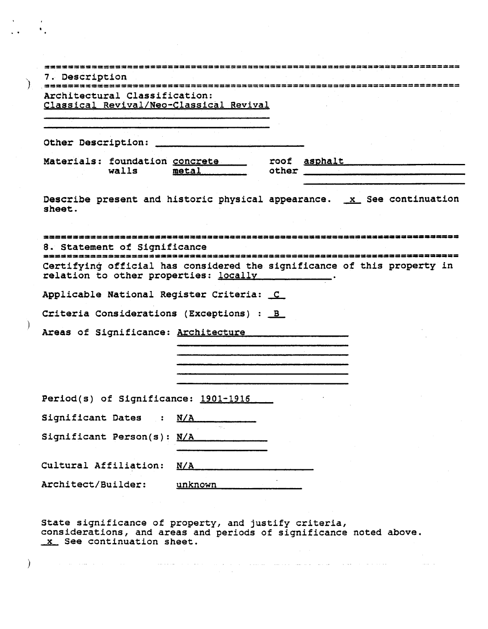| Architectural Classification:                                                                                    |       |       |  |  |
|------------------------------------------------------------------------------------------------------------------|-------|-------|--|--|
| Classical Revival/Neo-Classical Revival                                                                          |       |       |  |  |
|                                                                                                                  |       |       |  |  |
| Other Description:                                                                                               |       |       |  |  |
| Materials: foundation concrete ______ roof asphalt<br>walls                                                      | metal | other |  |  |
| Describe present and historic physical appearance. x See continuation<br>sheet.                                  |       |       |  |  |
| 8. Statement of Significance                                                                                     |       |       |  |  |
| Certifying official has considered the significance of this property in<br>relation to other properties: locally |       |       |  |  |
| Applicable National Register Criteria: C                                                                         |       |       |  |  |
| Criteria Considerations (Exceptions) : B                                                                         |       |       |  |  |
| Areas of Significance: Architecture                                                                              |       |       |  |  |
|                                                                                                                  |       |       |  |  |
|                                                                                                                  |       |       |  |  |
|                                                                                                                  |       |       |  |  |
| Period(s) of Significance: 1901-1916                                                                             |       |       |  |  |
| Significant Dates<br>$\sim$ 31                                                                                   | N/A   |       |  |  |
| Significant Person(s): N/A                                                                                       |       |       |  |  |
|                                                                                                                  | N/A   |       |  |  |
| Cultural Affiliation:                                                                                            |       |       |  |  |

 $\mathcal{A}^{\mathcal{A}}$  $\ddot{\phantom{a}}$  .

℩

 $\lambda$ 

 $\big)$ 

State significance of property, and justify criteria,<br>considerations, and areas and periods of significance noted above.<br>X. See continuation sheet.

 $\sim$  100  $\pm$  100  $\pm$ 

المتدخلة والجووا وسيطا ومنسو ووسس استدوارو والمروان وسجاوين حسيدسن النيابي والترابيب المتحدثة والمراوي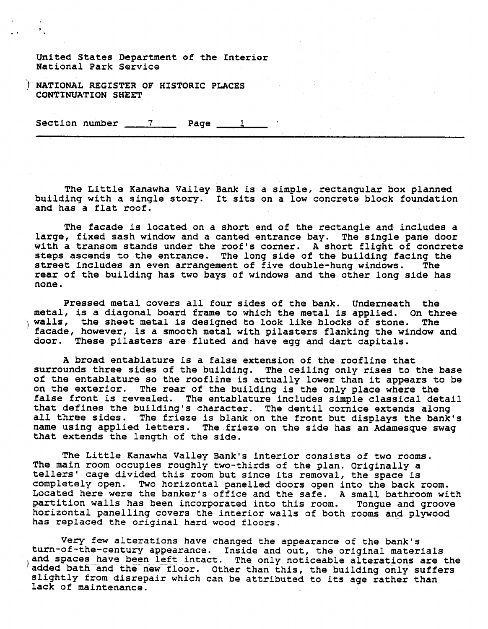United States Department of the Interior National Park Service

NATIONAL REGISTER OF HISTORIC PLACES **CONTfNUATION S#EET** 

Section number  $\qquad \qquad$  Page  $\qquad \qquad$  1

The Little Kanawha Valley Bank is a simple, rectangular box planned building with a single story. It sits on a low concrete block foundation and has a flat roof.

The facade is located on a short end of the rectangle and includes a large, fixed sash window and a canted entrance bay. The single pane door with a transom stands under the roof's corner. A short flight of concrete steps ascends to the entrance. The long side of the building facing the street includes an even arrangement of five double-hung windows. The street includes an even arrangement of five double-hung windows. rear of the building has two bays of windows and the other long side has none.

Pressed metal covers all four sides of the bank. Underneath the metal, is a diagonal board frame to which the metal is applied. On three walls, the sheet metal is designed to look like blocks of stone. The facade, however, is a smooth metal with pilasters flanking the window and door. These pilasters are fluted and have egg and dart capitals.

A broad entablature is a false extension of the roofline that surrounds three sides of the building. The ceiling only rises to the base of the entablature so the roofline is actually lower than it appears to be on the exterior. The rear of the building is the only place where the false front is revealed. The entablature includes simple classical detail that defines the building's character. The dentil cornice extends along all three sides. The frieze is blank on the front but displays the bank's name using applied letters. The frieze on the side has an Adamesque swag that extends the length of the side.

The Little Kanawha Valley Bank's interior consists of two rooms. The main room occupies roughly two-thirds of the plan. Originally a tellers' cage divided this room but since its removal, the space is completely open. Two horizontal panelled doors open into the back room. Located here were the banker's office and the safe. A small bathroom with partition walls has been incorporated into this room. Tongue and groove horizontal panelling covers the interior walls of both rooms and plywood has replaced the original hard wood floors.

Very few alterations have changed the appearance of the bank's turn-of-the-century appearance. Inside and out, the original materials<br>and spaces have been left intact. The only noticeable alterations are the<br>added bath and the new floor. Other than this, the building only suffers added bath and the new floor. Other than this, the building only suffers slightly from disrepair which can be attributed to its age rather than lack of maintenance.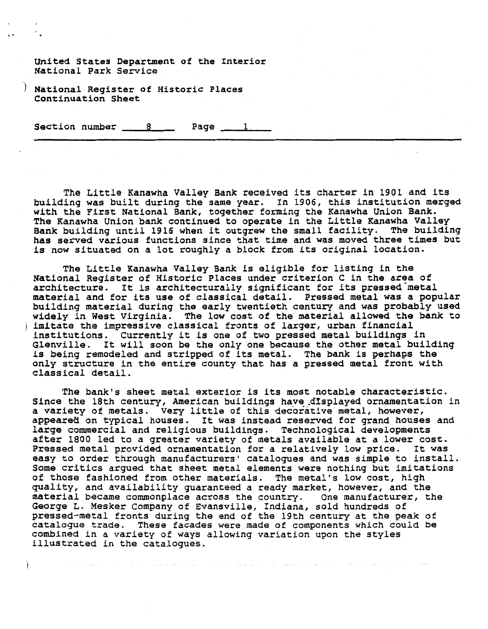United States Department of the Interior National Park Service

) National Register of Historic Places Continuation Sheet

Section number 8 Page 1

The Little Ranawha Valley Bank received its charter in 1901 and its building was built during the same year. In 1906, this institution merged with the First National Bank, together forming the Kanawha Union Bank. The Kanawha Union bank continued to operate in the Little Kanawha Valley Bank building until 1916 when it outgrew the small facility. The building has served various functions since that time and was moved three times but is now situated on a lot roughly a block from its original location.

The Little Kanawha Valley Bank is eligible for listing in the National Register of Historic Places under criterion C in the area of architecture. It is architecturally significant for its pressed metal material and for its use of classical detail. Pressed metal was a popular building material during the early twentieth century and was probably used widely in West Virginia. The low cost of the material allowed the bank to ) imitate the impressive classical fronts of larger, urban financial institutions. Currently it is one of two pressed metal buildings in Glenville. It will soon be the only one because the other metal building is being remodeled and stripped of its metal. The bank is perhaps the only structure in the entire county that has a pressed metal front with classical detail.

The bank's sheet metal exterior is its most notable characteristic. Since the 18th century, American buildings have displayed ornamentation in a variety of metals. Very little of this decorative metal, however, appeared on typical houses. It was instead reserved for grand houses and large commercial and religious buildings. Technological developments after 1800 led to a greater variety of metals available at a lower cost. Pressed metal provided ornamentation for a relatively low price. It was easy to order through manufacturers' catalogues and was simple to install. Some critics argued that sheet metal elements were nothing but imitations of those fashioned from other materials. The metal's low cost, high quality, and availability guaranteed a ready market, however, and the material became commonplace across the country. One manufacturer, the George **L.** Mesker Company of Evansville, Indiana, sold hundreds of pressed-metal fronts during the end of the 19th century at the peak of catalogue trade. These facades were made of components which could be combined in a variety of ways allowing variation upon the styles illustrated in the catalogues.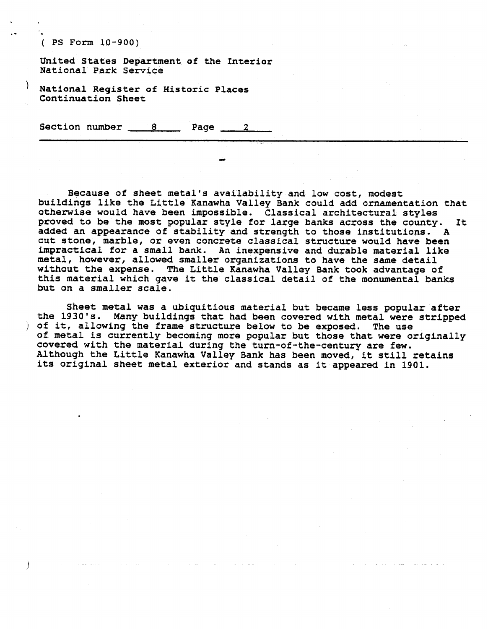. ( **PS Form 10-900)** 

**United States Department of the Interior National Park Service**  United States Department of the Interior<br>National Park Service<br>National Register of Historic Places<br>Continuation Sheet<br>Section number 8 Page 2

) **National Register of Historic Places Continuation Sheet** 

**Because of sheet metal's availability and low cost, modest buildings like the Little Kanawha Valley Bank could add ornamentation that otherwise would have been impossible. Classical architectural styles proved to be the most popular style for large banks across the county. It added an appearance of stability and strength to those institutions. A cut stone, marble, or even concrete classical structure would have been impractical for a small bank. An inexpensive and durable material like metal, however, allowed smaller organizations to have the same detail without the expense. The Little Kanawha Valley Bank took advantage of this material which gave it the classical detail of the monumental banks but on a smaller scale.** 

**Sheet metal was a ubiquitious material but became less popular after the 1930's. Many buildings that had been covered with metal were stripped**  <sup>j</sup>**of it, allowing the frame structure below to be exposed. The use of metal is currently becoming more popular but those that were originally covered with the material during the tun-of-the-century are few. Although the Little Kanawha Valley Bank has been moved, it still retains its original sheet metal exterior and stands as it appeared in 1901.**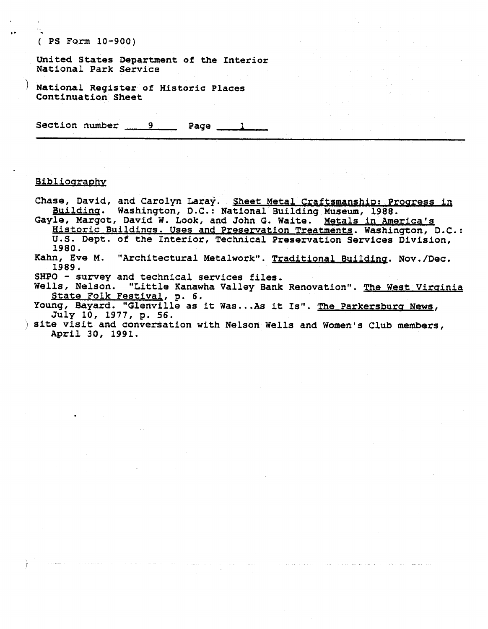( **PS Form 10-900)** 

**United States Department of the Interior National Park Service** 

**National Register of Historic Places Continuation Sheet** 

Section number 9 Page 1

## Bibliography

Chase, David, and Carolyn Laray. Sheet Metal Craftsmanship: Progress in **Buildinq. Washington, D.C.: National Building Museum, 1988.** 

**Gayle, Margot, David W. Look, and John G. Waite. Metals in America's Historic Buildings. Uses and Preservation Treatments. Washington, D.C.: U.S. Dept. of the Interior, Technical Preservation Services Division,** 

**1980.<br>Kahn, Eve M.** "Architectural Metalwork". Traditional Building. Nov./Dec. **1989.** 

**SHPO** - **survey and technical services files.** 

**Wells, Nelson. "Little Kanawha Valley Bank Renovation". The West Virainia State Folk FestivaL, p. 6.** 

Young, Bayard. "Glenville as it Was...As it Is". The Parkersburg News, July 10, 1977, p. 56.

) **site visit and conversation with Nelson Wells and Women's Club members, April 30, 1991.**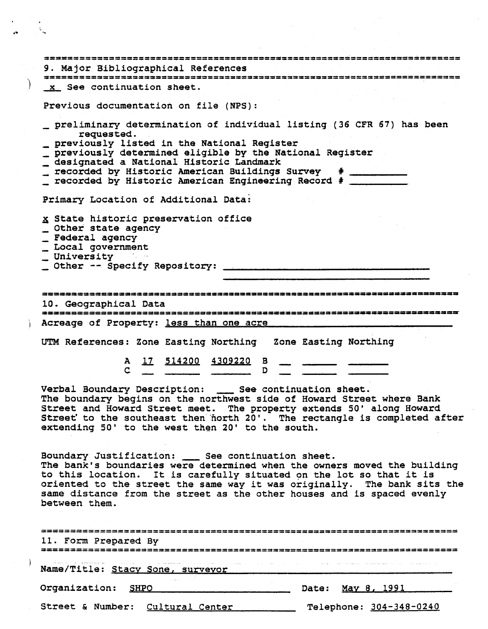| 9. Major Bibliographical References                                                                                                                                                                                                                                                                                                                                           |
|-------------------------------------------------------------------------------------------------------------------------------------------------------------------------------------------------------------------------------------------------------------------------------------------------------------------------------------------------------------------------------|
| 3223333383333333333333333 <del>3</del> 33444555                                                                                                                                                                                                                                                                                                                               |
| x See continuation sheet.                                                                                                                                                                                                                                                                                                                                                     |
| Previous documentation on file (NPS):                                                                                                                                                                                                                                                                                                                                         |
| preliminary determination of individual listing (36 CFR 67) has been<br>requested.<br>previously listed in the National Register<br>previously determined eligible by the National Register<br>designated a National Historic Landmark<br>_ recorded by Historic American Buildings Survey # ________<br>recorded by Historic American Engineering Record # _______           |
| Primary Location of Additional Data:                                                                                                                                                                                                                                                                                                                                          |
| x State historic preservation office<br>_ Other state agency<br>_ Federal agency<br>_ Local government<br><b>University</b>                                                                                                                                                                                                                                                   |
|                                                                                                                                                                                                                                                                                                                                                                               |
| 10. Geographical Data<br>Acreage of Property: less than one acre                                                                                                                                                                                                                                                                                                              |
| UTM References: Zone Easting Northing Zone Easting Northing                                                                                                                                                                                                                                                                                                                   |
| <u>17 514200 4309220</u> B<br>${\bf A}$<br>D<br>C                                                                                                                                                                                                                                                                                                                             |
| Verbal Boundary Description: ____ See continuation sheet.<br>The boundary begins on the northwest side of Howard Street where Bank<br>Street and Howard Street meet. The property extends 50' along Howard<br>Street to the southeast then north 20'. The rectangle is completed after<br>extending 50' to the west then 20' to the south.                                    |
| Boundary Justification: ___ See continuation sheet.<br>The bank's boundaries were determined when the owners moved the building<br>to this location. It is carefully situated on the lot so that it is<br>oriented to the street the same way it was originally. The bank sits the<br>same distance from the street as the other houses and is spaced evenly<br>between them. |
| 11. Form Prepared By                                                                                                                                                                                                                                                                                                                                                          |
| ن در بازی از این مسلم بازی در بازی استفاده بود. از این مسلم بازی بازی از این مسلم به منطق بازی از این مسلم به<br>Name/Title: Stacy Sone, surveyor                                                                                                                                                                                                                             |
| Organization: SHPO<br>Date: May 8, 1991                                                                                                                                                                                                                                                                                                                                       |
| Street & Number: Cultural Center<br>Telephone: 304-348-0240                                                                                                                                                                                                                                                                                                                   |

 $\rightarrow$ 

 $\bullet$  $\ddot{\phantom{a}}$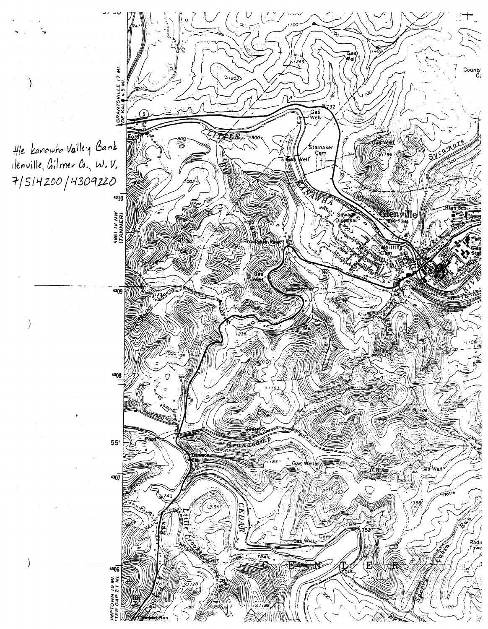